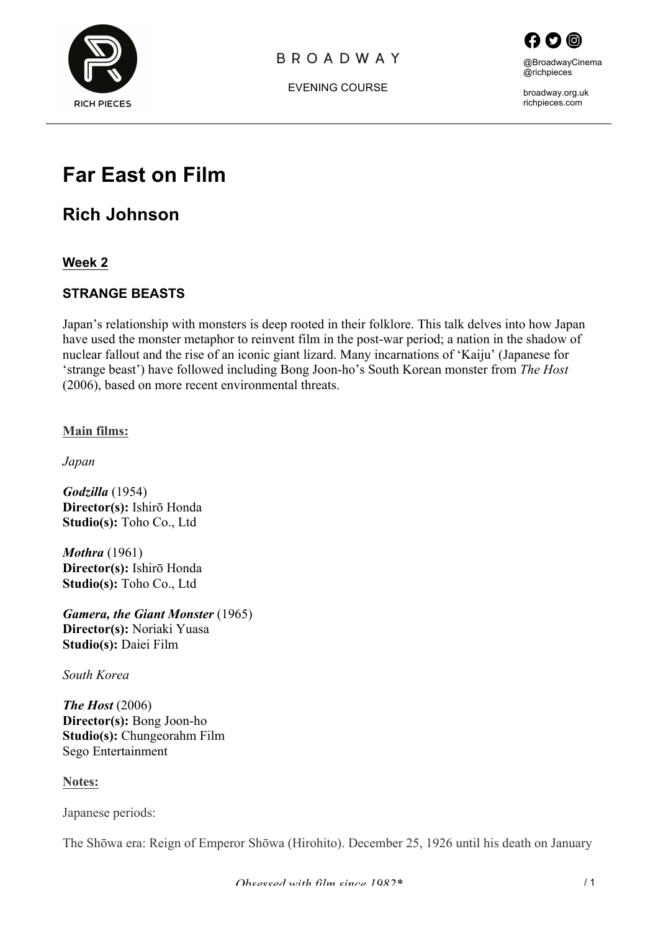

### **BROADWAY**





broadway.org.uk richpieces.com

# **Far East on Film**

**Rich Johnson**

**Week 2**

### **STRANGE BEASTS**

Japan's relationship with monsters is deep rooted in their folklore. This talk delves into how Japan have used the monster metaphor to reinvent film in the post-war period; a nation in the shadow of nuclear fallout and the rise of an iconic giant lizard. Many incarnations of 'Kaiju' (Japanese for 'strange beast') have followed including Bong Joon-ho's South Korean monster from *The Host*  (2006), based on more recent environmental threats.

**Main films:**

*Japan*

*Godzilla* (1954) **Director(s):** Ishirō Honda **Studio(s):** Toho Co., Ltd

*Mothra* (1961) **Director(s):** Ishirō Honda **Studio(s):** Toho Co., Ltd

*Gamera, the Giant Monster* (1965) **Director(s):** Noriaki Yuasa **Studio(s):** Daiei Film

*South Korea*

*The Host* (2006) **Director(s):** Bong Joon-ho **Studio(s):** Chungeorahm Film Sego Entertainment

**Notes:**

Japanese periods:

The Shōwa era: Reign of Emperor Shōwa (Hirohito). December 25, 1926 until his death on January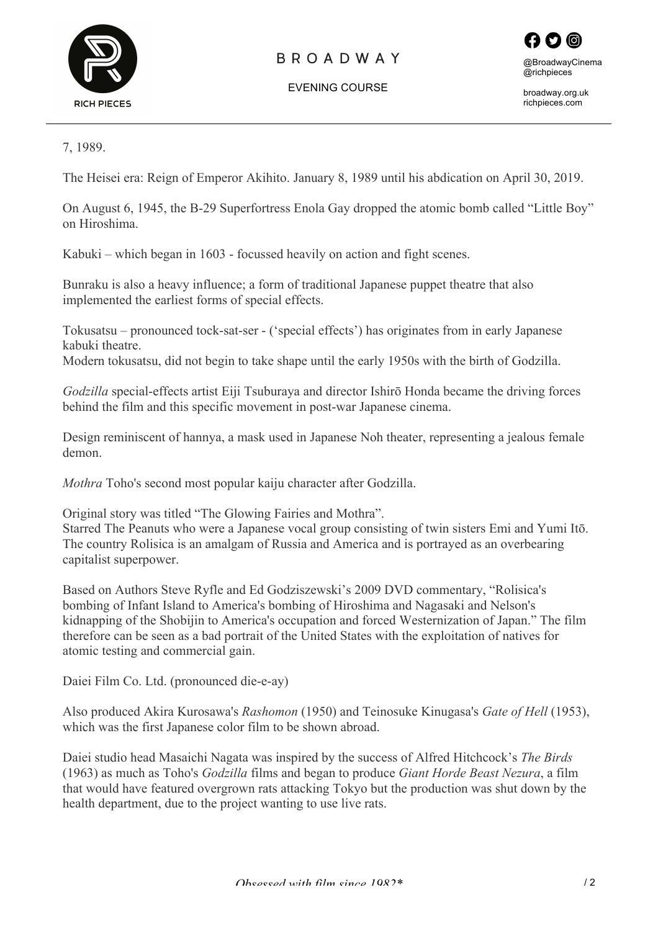

### **BROADWAY**

EVENING COURSE



broadway.org.uk richpieces.com

7, 1989.

The Heisei era: Reign of Emperor Akihito. January 8, 1989 until his abdication on April 30, 2019.

On August 6, 1945, the B-29 Superfortress Enola Gay dropped the atomic bomb called "Little Boy" on Hiroshima.

Kabuki – which began in 1603 - focussed heavily on action and fight scenes.

Bunraku is also a heavy influence; a form of traditional Japanese puppet theatre that also implemented the earliest forms of special effects.

Tokusatsu – pronounced tock-sat-ser - ('special effects') has originates from in early Japanese kabuki theatre.

Modern tokusatsu, did not begin to take shape until the early 1950s with the birth of Godzilla.

*Godzilla* special-effects artist Eiji Tsuburaya and director Ishirō Honda became the driving forces behind the film and this specific movement in post-war Japanese cinema.

Design reminiscent of hannya, a mask used in Japanese Noh theater, representing a jealous female demon.

*Mothra* Toho's second most popular kaiju character after Godzilla.

Original story was titled "The Glowing Fairies and Mothra".

Starred The Peanuts who were a Japanese vocal group consisting of twin sisters Emi and Yumi Itō. The country Rolisica is an amalgam of Russia and America and is portrayed as an overbearing capitalist superpower.

Based on Authors Steve Ryfle and Ed Godziszewski's 2009 DVD commentary, "Rolisica's bombing of Infant Island to America's bombing of Hiroshima and Nagasaki and Nelson's kidnapping of the Shobijin to America's occupation and forced Westernization of Japan." The film therefore can be seen as a bad portrait of the United States with the exploitation of natives for atomic testing and commercial gain.

Daiei Film Co. Ltd. (pronounced die-e-ay)

Also produced Akira Kurosawa's *Rashomon* (1950) and Teinosuke Kinugasa's *Gate of Hell* (1953), which was the first Japanese color film to be shown abroad.

Daiei studio head Masaichi Nagata was inspired by the success of Alfred Hitchcock's *The Birds*  (1963) as much as Toho's *Godzilla* films and began to produce *Giant Horde Beast Nezura*, a film that would have featured overgrown rats attacking Tokyo but the production was shut down by the health department, due to the project wanting to use live rats.